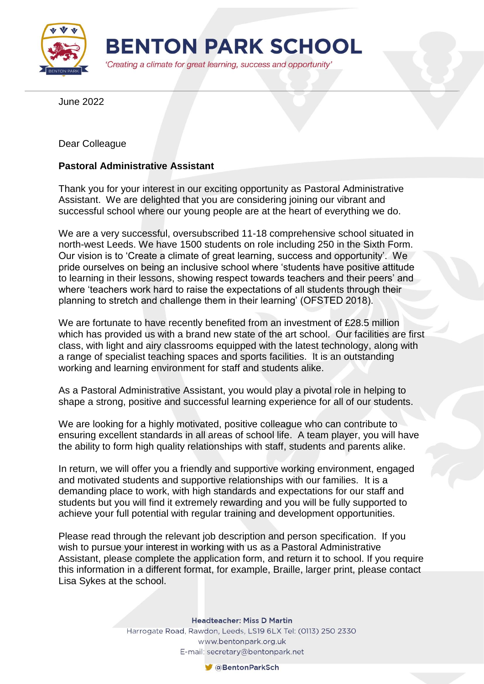

June 2022

Dear Colleague

## **Pastoral Administrative Assistant**

Thank you for your interest in our exciting opportunity as Pastoral Administrative Assistant. We are delighted that you are considering joining our vibrant and successful school where our young people are at the heart of everything we do.

We are a very successful, oversubscribed 11-18 comprehensive school situated in north-west Leeds. We have 1500 students on role including 250 in the Sixth Form. Our vision is to 'Create a climate of great learning, success and opportunity'. We pride ourselves on being an inclusive school where 'students have positive attitude to learning in their lessons, showing respect towards teachers and their peers' and where 'teachers work hard to raise the expectations of all students through their planning to stretch and challenge them in their learning' (OFSTED 2018).

We are fortunate to have recently benefited from an investment of £28.5 million which has provided us with a brand new state of the art school. Our facilities are first class, with light and airy classrooms equipped with the latest technology, along with a range of specialist teaching spaces and sports facilities. It is an outstanding working and learning environment for staff and students alike.

As a Pastoral Administrative Assistant, you would play a pivotal role in helping to shape a strong, positive and successful learning experience for all of our students.

We are looking for a highly motivated, positive colleague who can contribute to ensuring excellent standards in all areas of school life. A team player, you will have the ability to form high quality relationships with staff, students and parents alike.

In return, we will offer you a friendly and supportive working environment, engaged and motivated students and supportive relationships with our families. It is a demanding place to work, with high standards and expectations for our staff and students but you will find it extremely rewarding and you will be fully supported to achieve your full potential with regular training and development opportunities.

Please read through the relevant job description and person specification. If you wish to pursue your interest in working with us as a Pastoral Administrative Assistant, please complete the application form, and return it to school. If you require this information in a different format, for example, Braille, larger print, please contact Lisa Sykes at the school.

**Headteacher: Miss D Martin** 

Harrogate Road, Rawdon, Leeds, LS19 6LX Tel: (0113) 250 2330 www.bentonpark.org.uk E-mail: secretary@bentonpark.net